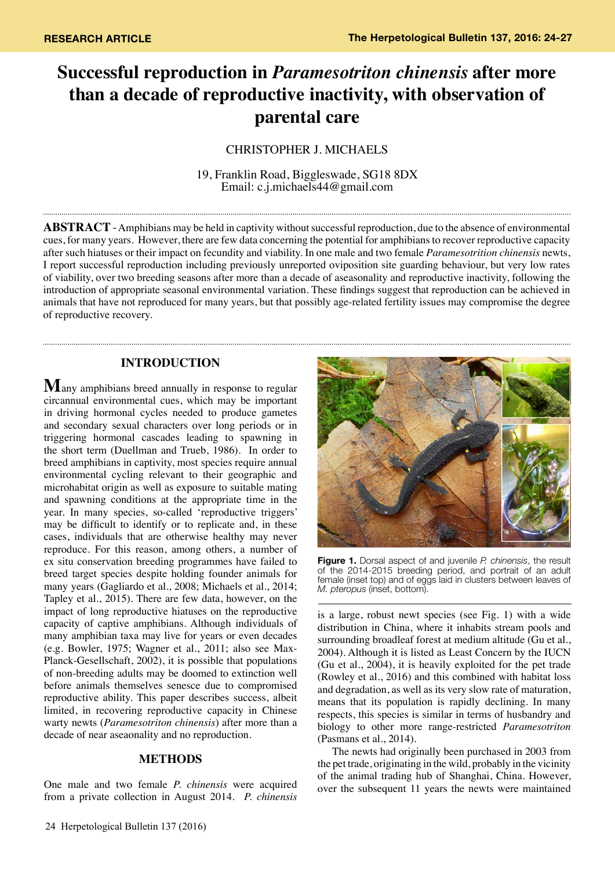# **Successful reproduction in** *Paramesotriton chinensis* **after more than a decade of reproductive inactivity, with observation of parental care**

## CHRISTOPHER J. MICHAELS

19, Franklin Road, Biggleswade, SG18 8DX Email: c.j.michaels44@gmail.com

**ABSTRACT** - Amphibians may be held in captivity without successful reproduction, due to the absence of environmental cues, for many years. However, there are few data concerning the potential for amphibians to recover reproductive capacity after such hiatuses or their impact on fecundity and viability. In one male and two female *Paramesotrition chinensis* newts, I report successful reproduction including previously unreported oviposition site guarding behaviour, but very low rates of viability, over two breeding seasons after more than a decade of aseasonality and reproductive inactivity, following the introduction of appropriate seasonal environmental variation. These findings suggest that reproduction can be achieved in animals that have not reproduced for many years, but that possibly age-related fertility issues may compromise the degree of reproductive recovery.

# **INTRODUCTION**

**M**any amphibians breed annually in response to regular circannual environmental cues, which may be important in driving hormonal cycles needed to produce gametes and secondary sexual characters over long periods or in triggering hormonal cascades leading to spawning in the short term (Duellman and Trueb, 1986). In order to breed amphibians in captivity, most species require annual environmental cycling relevant to their geographic and microhabitat origin as well as exposure to suitable mating and spawning conditions at the appropriate time in the year. In many species, so-called 'reproductive triggers' may be difficult to identify or to replicate and, in these cases, individuals that are otherwise healthy may never reproduce. For this reason, among others, a number of ex situ conservation breeding programmes have failed to breed target species despite holding founder animals for many years (Gagliardo et al., 2008; Michaels et al., 2014; Tapley et al., 2015). There are few data, however, on the impact of long reproductive hiatuses on the reproductive capacity of captive amphibians. Although individuals of many amphibian taxa may live for years or even decades (e.g. Bowler, 1975; Wagner et al., 2011; also see Max-Planck-Gesellschaft, 2002), it is possible that populations of non-breeding adults may be doomed to extinction well before animals themselves senesce due to compromised reproductive ability. This paper describes success, albeit limited, in recovering reproductive capacity in Chinese warty newts (*Paramesotriton chinensis*) after more than a decade of near aseaonality and no reproduction.

## **METHODS**

One male and two female *P. chinensis* were acquired from a private collection in August 2014. *P. chinensis*



**Figure 1.** Dorsal aspect of and juvenile *P. chinensis*, the result of the 2014-2015 breeding period, and portrait of an adult female (inset top) and of eggs laid in clusters between leaves of *M. pteropus* (inset, bottom).

is a large, robust newt species (see Fig. 1) with a wide distribution in China, where it inhabits stream pools and surrounding broadleaf forest at medium altitude (Gu et al., 2004). Although it is listed as Least Concern by the IUCN (Gu et al., 2004), it is heavily exploited for the pet trade (Rowley et al., 2016) and this combined with habitat loss and degradation, as well as its very slow rate of maturation, means that its population is rapidly declining. In many respects, this species is similar in terms of husbandry and biology to other more range-restricted *Paramesotriton* (Pasmans et al., 2014).

The newts had originally been purchased in 2003 from the pet trade, originating in the wild, probably in the vicinity of the animal trading hub of Shanghai, China. However, over the subsequent 11 years the newts were maintained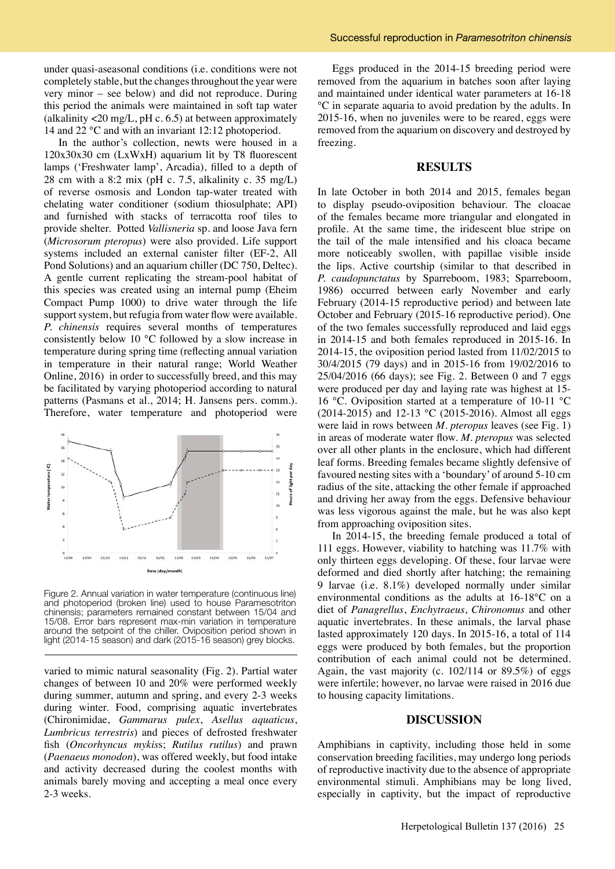under quasi-aseasonal conditions (i.e. conditions were not completely stable, but the changes throughout the year were very minor – see below) and did not reproduce. During this period the animals were maintained in soft tap water (alkalinity  $\langle 20 \text{ mg/L}, \text{pH} \cdot c. 6.5 \rangle$ ) at between approximately 14 and 22 °C and with an invariant 12:12 photoperiod.

In the author's collection, newts were housed in a 120x30x30 cm (LxWxH) aquarium lit by T8 fluorescent lamps ('Freshwater lamp', Arcadia), filled to a depth of 28 cm with a 8:2 mix (pH c.  $7.5$ , alkalinity c.  $35 \text{ mg/L}$ ) of reverse osmosis and London tap-water treated with chelating water conditioner (sodium thiosulphate; API) and furnished with stacks of terracotta roof tiles to provide shelter. Potted *Vallisneria* sp. and loose Java fern (*Microsorum pteropus*) were also provided. Life support systems included an external canister filter (EF-2, All Pond Solutions) and an aquarium chiller (DC 750, Deltec). A gentle current replicating the stream-pool habitat of this species was created using an internal pump (Eheim Compact Pump 1000) to drive water through the life support system, but refugia from water flow were available. *P. chinensis* requires several months of temperatures consistently below 10 °C followed by a slow increase in temperature during spring time (reflecting annual variation in temperature in their natural range; World Weather Online, 2016) in order to successfully breed, and this may be facilitated by varying photoperiod according to natural patterns (Pasmans et al., 2014; H. Jansens pers. comm.). Therefore, water temperature and photoperiod were



Figure 2. Annual variation in water temperature (continuous line) and photoperiod (broken line) used to house Paramesotriton chinensis; parameters remained constant between 15/04 and 15/08. Error bars represent max-min variation in temperature around the setpoint of the chiller. Oviposition period shown in light (2014-15 season) and dark (2015-16 season) grey blocks.

varied to mimic natural seasonality (Fig. 2). Partial water changes of between 10 and 20% were performed weekly during summer, autumn and spring, and every 2-3 weeks during winter. Food, comprising aquatic invertebrates (Chironimidae, *Gammarus pulex*, *Asellus aquaticus*, *Lumbricus terrestris*) and pieces of defrosted freshwater fish (*Oncorhyncus mykis*s; *Rutilus rutilus*) and prawn (*Paenaeus monodon*), was offered weekly, but food intake and activity decreased during the coolest months with animals barely moving and accepting a meal once every 2-3 weeks.

Eggs produced in the 2014-15 breeding period were removed from the aquarium in batches soon after laying and maintained under identical water parameters at 16-18 °C in separate aquaria to avoid predation by the adults. In 2015-16, when no juveniles were to be reared, eggs were removed from the aquarium on discovery and destroyed by freezing.

#### **RESULTS**

In late October in both 2014 and 2015, females began to display pseudo-oviposition behaviour. The cloacae of the females became more triangular and elongated in profile. At the same time, the iridescent blue stripe on the tail of the male intensified and his cloaca became more noticeably swollen, with papillae visible inside the lips. Active courtship (similar to that described in *P. caudopunctatus* by Sparreboom, 1983; Sparreboom, 1986) occurred between early November and early February (2014-15 reproductive period) and between late October and February (2015-16 reproductive period). One of the two females successfully reproduced and laid eggs in 2014-15 and both females reproduced in 2015-16. In 2014-15, the oviposition period lasted from 11/02/2015 to 30/4/2015 (79 days) and in 2015-16 from 19/02/2016 to 25/04/2016 (66 days); see Fig. 2. Between 0 and 7 eggs were produced per day and laying rate was highest at 15- 16 °C. Oviposition started at a temperature of 10-11 °C (2014-2015) and 12-13 °C (2015-2016). Almost all eggs were laid in rows between *M. pteropus* leaves (see Fig. 1) in areas of moderate water flow. *M. pteropus* was selected over all other plants in the enclosure, which had different leaf forms. Breeding females became slightly defensive of favoured nesting sites with a 'boundary' of around 5-10 cm radius of the site, attacking the other female if approached and driving her away from the eggs. Defensive behaviour was less vigorous against the male, but he was also kept from approaching oviposition sites.

In 2014-15, the breeding female produced a total of 111 eggs. However, viability to hatching was 11.7% with only thirteen eggs developing. Of these, four larvae were deformed and died shortly after hatching; the remaining 9 larvae (i.e. 8.1%) developed normally under similar environmental conditions as the adults at 16-18°C on a diet of *Panagrellus*, *Enchytraeus*, *Chironomus* and other aquatic invertebrates. In these animals, the larval phase lasted approximately 120 days. In 2015-16, a total of 114 eggs were produced by both females, but the proportion contribution of each animal could not be determined. Again, the vast majority (c. 102/114 or 89.5%) of eggs were infertile; however, no larvae were raised in 2016 due to housing capacity limitations.

#### **DISCUSSION**

Amphibians in captivity, including those held in some conservation breeding facilities, may undergo long periods of reproductive inactivity due to the absence of appropriate environmental stimuli. Amphibians may be long lived, especially in captivity, but the impact of reproductive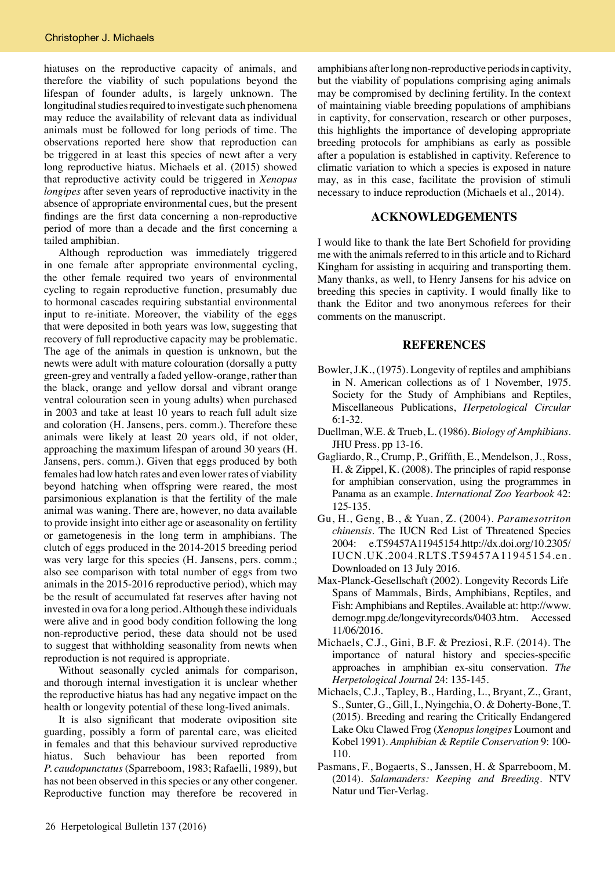hiatuses on the reproductive capacity of animals, and therefore the viability of such populations beyond the lifespan of founder adults, is largely unknown. The longitudinal studies required to investigate such phenomena may reduce the availability of relevant data as individual animals must be followed for long periods of time. The observations reported here show that reproduction can be triggered in at least this species of newt after a very long reproductive hiatus. Michaels et al. (2015) showed that reproductive activity could be triggered in *Xenopus longipes* after seven years of reproductive inactivity in the absence of appropriate environmental cues, but the present findings are the first data concerning a non-reproductive period of more than a decade and the first concerning a tailed amphibian.

Although reproduction was immediately triggered in one female after appropriate environmental cycling, the other female required two years of environmental cycling to regain reproductive function, presumably due to hormonal cascades requiring substantial environmental input to re-initiate. Moreover, the viability of the eggs that were deposited in both years was low, suggesting that recovery of full reproductive capacity may be problematic. The age of the animals in question is unknown, but the newts were adult with mature colouration (dorsally a putty green-grey and ventrally a faded yellow-orange, rather than the black, orange and yellow dorsal and vibrant orange ventral colouration seen in young adults) when purchased in 2003 and take at least 10 years to reach full adult size and coloration (H. Jansens, pers. comm.). Therefore these animals were likely at least 20 years old, if not older, approaching the maximum lifespan of around 30 years (H. Jansens, pers. comm.). Given that eggs produced by both females had low hatch rates and even lower rates of viability beyond hatching when offspring were reared, the most parsimonious explanation is that the fertility of the male animal was waning. There are, however, no data available to provide insight into either age or aseasonality on fertility or gametogenesis in the long term in amphibians. The clutch of eggs produced in the 2014-2015 breeding period was very large for this species (H. Jansens, pers. comm.; also see comparison with total number of eggs from two animals in the 2015-2016 reproductive period), which may be the result of accumulated fat reserves after having not invested in ova for a long period. Although these individuals were alive and in good body condition following the long non-reproductive period, these data should not be used to suggest that withholding seasonality from newts when reproduction is not required is appropriate.

Without seasonally cycled animals for comparison, and thorough internal investigation it is unclear whether the reproductive hiatus has had any negative impact on the health or longevity potential of these long-lived animals.

It is also significant that moderate oviposition site guarding, possibly a form of parental care, was elicited in females and that this behaviour survived reproductive hiatus. Such behaviour has been reported from *P. caudopunctatus* (Sparreboom, 1983; Rafaelli, 1989), but has not been observed in this species or any other congener. Reproductive function may therefore be recovered in

amphibians after long non-reproductive periods in captivity, but the viability of populations comprising aging animals may be compromised by declining fertility. In the context of maintaining viable breeding populations of amphibians in captivity, for conservation, research or other purposes, this highlights the importance of developing appropriate breeding protocols for amphibians as early as possible after a population is established in captivity. Reference to climatic variation to which a species is exposed in nature may, as in this case, facilitate the provision of stimuli necessary to induce reproduction (Michaels et al., 2014).

### **ACKNOWLEDGEMENTS**

I would like to thank the late Bert Schofield for providing me with the animals referred to in this article and to Richard Kingham for assisting in acquiring and transporting them. Many thanks, as well, to Henry Jansens for his advice on breeding this species in captivity. I would finally like to thank the Editor and two anonymous referees for their comments on the manuscript.

## **REFERENCES**

- Bowler, J.K., (1975). Longevity of reptiles and amphibians in N. American collections as of 1 November, 1975. Society for the Study of Amphibians and Reptiles, Miscellaneous Publications, *Herpetological Circular*  6:1-32.
- Duellman, W.E. & Trueb, L. (1986). *Biology of Amphibians*. JHU Press. pp 13-16.
- Gagliardo, R., Crump, P., Griffith, E., Mendelson, J., Ross, H. & Zippel, K. (2008). The principles of rapid response for amphibian conservation, using the programmes in Panama as an example. *International Zoo Yearbook* 42: 125-135.
- Gu, H., Geng, B., & Yuan, Z. (2004). *Paramesotriton chinensis*. The IUCN Red List of Threatened Species 2004: e.T59457A11945154.http://dx.doi.org/10.2305/ IUCN.UK.2004.RLTS.T59457A11945154.en. Downloaded on 13 July 2016.
- Max-Planck-Gesellschaft (2002). Longevity Records Life Spans of Mammals, Birds, Amphibians, Reptiles, and Fish: Amphibians and Reptiles. Available at: http://www. demogr.mpg.de/longevityrecords/0403.htm. Accessed 11/06/2016.
- Michaels, C.J., Gini, B.F. & Preziosi, R.F. (2014). The importance of natural history and species-specific approaches in amphibian ex-situ conservation. *The Herpetological Journal* 24: 135-145.
- Michaels, C.J., Tapley, B., Harding, L., Bryant, Z., Grant, S., Sunter, G., Gill, I., Nyingchia, O. & Doherty-Bone, T. (2015). Breeding and rearing the Critically Endangered Lake Oku Clawed Frog (*Xenopus longipes* Loumont and Kobel 1991). *Amphibian & Reptile Conservation* 9: 100- 110.
- Pasmans, F., Bogaerts, S., Janssen, H. & Sparreboom, M. (2014). *Salamanders: Keeping and Breeding*. NTV Natur und Tier-Verlag.